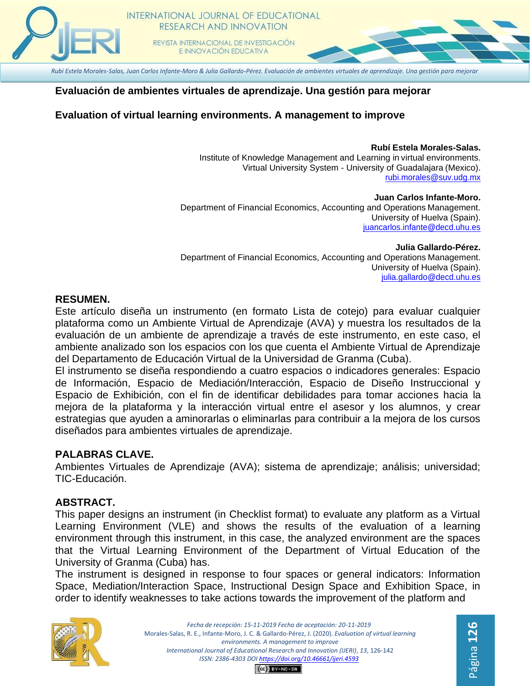

# **Evaluación de ambientes virtuales de aprendizaje. Una gestión para mejorar**

### **Evaluation of virtual learning environments. A management to improve**

#### **Rubí Estela Morales-Salas.**

Página **126**

Institute of Knowledge Management and Learning in virtual environments. Virtual University System - University of Guadalajara (Mexico). [rubi.morales@suv.udg.mx](mailto:rubi.morales@suv.udg.mx)

**Juan Carlos Infante-Moro.** Department of Financial Economics, Accounting and Operations Management. University of Huelva (Spain). [juancarlos.infante@decd.uhu.es](mailto:juancarlos.infante@decd.uhu.es)

**Julia Gallardo-Pérez.** Department of Financial Economics, Accounting and Operations Management. University of Huelva (Spain). [julia.gallardo@decd.uhu.es](mailto:julia.gallardo@decd.uhu.es)

#### **RESUMEN.**

Este artículo diseña un instrumento (en formato Lista de cotejo) para evaluar cualquier plataforma como un Ambiente Virtual de Aprendizaje (AVA) y muestra los resultados de la evaluación de un ambiente de aprendizaje a través de este instrumento, en este caso, el ambiente analizado son los espacios con los que cuenta el Ambiente Virtual de Aprendizaje del Departamento de Educación Virtual de la Universidad de Granma (Cuba).

El instrumento se diseña respondiendo a cuatro espacios o indicadores generales: Espacio de Información, Espacio de Mediación/Interacción, Espacio de Diseño Instruccional y Espacio de Exhibición, con el fin de identificar debilidades para tomar acciones hacia la mejora de la plataforma y la interacción virtual entre el asesor y los alumnos, y crear estrategias que ayuden a aminorarlas o eliminarlas para contribuir a la mejora de los cursos diseñados para ambientes virtuales de aprendizaje.

#### **PALABRAS CLAVE.**

Ambientes Virtuales de Aprendizaje (AVA); sistema de aprendizaje; análisis; universidad; TIC-Educación.

#### **ABSTRACT.**

This paper designs an instrument (in Checklist format) to evaluate any platform as a Virtual Learning Environment (VLE) and shows the results of the evaluation of a learning environment through this instrument, in this case, the analyzed environment are the spaces that the Virtual Learning Environment of the Department of Virtual Education of the University of Granma (Cuba) has.

The instrument is designed in response to four spaces or general indicators: Information Space, Mediation/Interaction Space, Instructional Design Space and Exhibition Space, in order to identify weaknesses to take actions towards the improvement of the platform and



*Fecha de recepción: 15-11-2019 Fecha de aceptación: 20-11-2019* Morales-Salas, R. E., Infante-Moro, J. C. & Gallardo-Pérez, J. (2020). *Evaluation of virtual learning environments. A management to improve International Journal of Educational Research and Innovation (IJERI)*, *13*, 126-142 *ISSN: 2386-4303 DO[I https://doi.org/10.46661/ijeri.4593](https://doi.org/10.46661/ijeri.4593)*

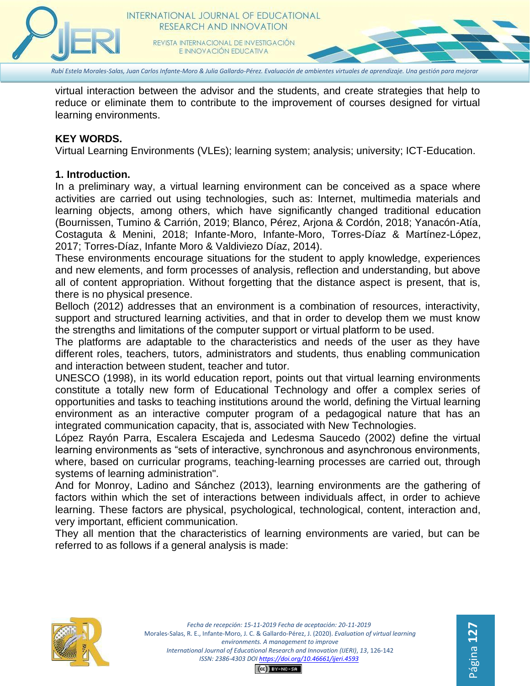

*Rubí Estela Morales-Salas, Juan Carlos Infante-Moro & Julia Gallardo-Pérez. Evaluación de ambientes virtuales de aprendizaje. Una gestión para mejorar*

virtual interaction between the advisor and the students, and create strategies that help to reduce or eliminate them to contribute to the improvement of courses designed for virtual learning environments.

## **KEY WORDS.**

Virtual Learning Environments (VLEs); learning system; analysis; university; ICT-Education.

### **1. Introduction.**

In a preliminary way, a virtual learning environment can be conceived as a space where activities are carried out using technologies, such as: Internet, multimedia materials and learning objects, among others, which have significantly changed traditional education (Bournissen, Tumino & Carrión, 2019; Blanco, Pérez, Arjona & Cordón, 2018; Yanacón-Atía, Costaguta & Menini, 2018; Infante-Moro, Infante-Moro, Torres-Díaz & Martínez-López, 2017; Torres-Díaz, Infante Moro & Valdiviezo Díaz, 2014).

These environments encourage situations for the student to apply knowledge, experiences and new elements, and form processes of analysis, reflection and understanding, but above all of content appropriation. Without forgetting that the distance aspect is present, that is, there is no physical presence.

Belloch (2012) addresses that an environment is a combination of resources, interactivity, support and structured learning activities, and that in order to develop them we must know the strengths and limitations of the computer support or virtual platform to be used.

The platforms are adaptable to the characteristics and needs of the user as they have different roles, teachers, tutors, administrators and students, thus enabling communication and interaction between student, teacher and tutor.

UNESCO (1998), in its world education report, points out that virtual learning environments constitute a totally new form of Educational Technology and offer a complex series of opportunities and tasks to teaching institutions around the world, defining the Virtual learning environment as an interactive computer program of a pedagogical nature that has an integrated communication capacity, that is, associated with New Technologies.

López Rayón Parra, Escalera Escajeda and Ledesma Saucedo (2002) define the virtual learning environments as "sets of interactive, synchronous and asynchronous environments, where, based on curricular programs, teaching-learning processes are carried out, through systems of learning administration".

And for Monroy, Ladino and Sánchez (2013), learning environments are the gathering of factors within which the set of interactions between individuals affect, in order to achieve learning. These factors are physical, psychological, technological, content, interaction and, very important, efficient communication.

They all mention that the characteristics of learning environments are varied, but can be referred to as follows if a general analysis is made:

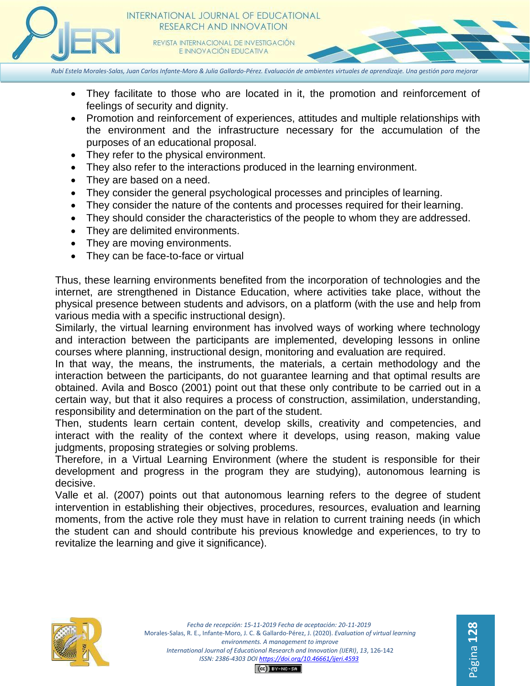

*Rubí Estela Morales-Salas, Juan Carlos Infante-Moro & Julia Gallardo-Pérez. Evaluación de ambientes virtuales de aprendizaje. Una gestión para mejorar*

- They facilitate to those who are located in it, the promotion and reinforcement of feelings of security and dignity.
- Promotion and reinforcement of experiences, attitudes and multiple relationships with the environment and the infrastructure necessary for the accumulation of the purposes of an educational proposal.
- They refer to the physical environment.
- They also refer to the interactions produced in the learning environment.
- They are based on a need.
- They consider the general psychological processes and principles of learning.
- They consider the nature of the contents and processes required for their learning.
- They should consider the characteristics of the people to whom they are addressed.
- They are delimited environments.
- They are moving environments.
- They can be face-to-face or virtual

Thus, these learning environments benefited from the incorporation of technologies and the internet, are strengthened in Distance Education, where activities take place, without the physical presence between students and advisors, on a platform (with the use and help from various media with a specific instructional design).

Similarly, the virtual learning environment has involved ways of working where technology and interaction between the participants are implemented, developing lessons in online courses where planning, instructional design, monitoring and evaluation are required.

In that way, the means, the instruments, the materials, a certain methodology and the interaction between the participants, do not guarantee learning and that optimal results are obtained. Avila and Bosco (2001) point out that these only contribute to be carried out in a certain way, but that it also requires a process of construction, assimilation, understanding, responsibility and determination on the part of the student.

Then, students learn certain content, develop skills, creativity and competencies, and interact with the reality of the context where it develops, using reason, making value judgments, proposing strategies or solving problems.

Therefore, in a Virtual Learning Environment (where the student is responsible for their development and progress in the program they are studying), autonomous learning is decisive.

Valle et al. (2007) points out that autonomous learning refers to the degree of student intervention in establishing their objectives, procedures, resources, evaluation and learning moments, from the active role they must have in relation to current training needs (in which the student can and should contribute his previous knowledge and experiences, to try to revitalize the learning and give it significance).



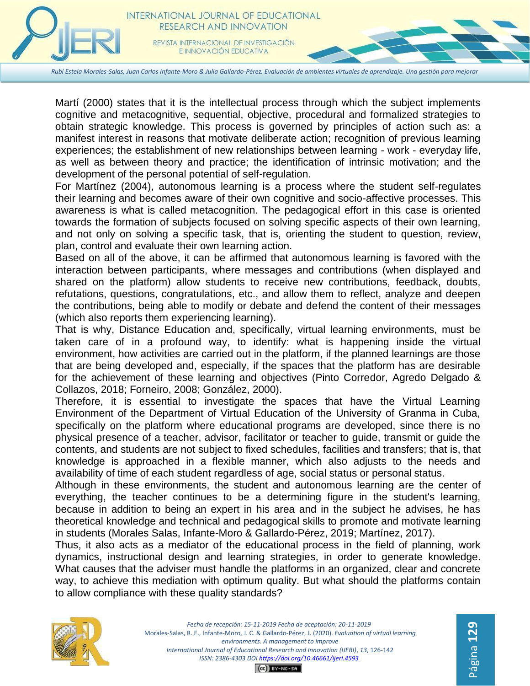

*Rubí Estela Morales-Salas, Juan Carlos Infante-Moro & Julia Gallardo-Pérez. Evaluación de ambientes virtuales de aprendizaje. Una gestión para mejorar*

Martí (2000) states that it is the intellectual process through which the subject implements cognitive and metacognitive, sequential, objective, procedural and formalized strategies to obtain strategic knowledge. This process is governed by principles of action such as: a manifest interest in reasons that motivate deliberate action; recognition of previous learning experiences; the establishment of new relationships between learning - work - everyday life, as well as between theory and practice; the identification of intrinsic motivation; and the development of the personal potential of self-regulation.

For Martínez (2004), autonomous learning is a process where the student self-regulates their learning and becomes aware of their own cognitive and socio-affective processes. This awareness is what is called metacognition. The pedagogical effort in this case is oriented towards the formation of subjects focused on solving specific aspects of their own learning, and not only on solving a specific task, that is, orienting the student to question, review, plan, control and evaluate their own learning action.

Based on all of the above, it can be affirmed that autonomous learning is favored with the interaction between participants, where messages and contributions (when displayed and shared on the platform) allow students to receive new contributions, feedback, doubts, refutations, questions, congratulations, etc., and allow them to reflect, analyze and deepen the contributions, being able to modify or debate and defend the content of their messages (which also reports them experiencing learning).

That is why, Distance Education and, specifically, virtual learning environments, must be taken care of in a profound way, to identify: what is happening inside the virtual environment, how activities are carried out in the platform, if the planned learnings are those that are being developed and, especially, if the spaces that the platform has are desirable for the achievement of these learning and objectives (Pinto Corredor, Agredo Delgado & Collazos, 2018; Forneiro, 2008; González, 2000).

Therefore, it is essential to investigate the spaces that have the Virtual Learning Environment of the Department of Virtual Education of the University of Granma in Cuba, specifically on the platform where educational programs are developed, since there is no physical presence of a teacher, advisor, facilitator or teacher to guide, transmit or guide the contents, and students are not subject to fixed schedules, facilities and transfers; that is, that knowledge is approached in a flexible manner, which also adjusts to the needs and availability of time of each student regardless of age, social status or personal status.

Although in these environments, the student and autonomous learning are the center of everything, the teacher continues to be a determining figure in the student's learning, because in addition to being an expert in his area and in the subject he advises, he has theoretical knowledge and technical and pedagogical skills to promote and motivate learning in students (Morales Salas, Infante-Moro & Gallardo-Pérez, 2019; Martínez, 2017).

Thus, it also acts as a mediator of the educational process in the field of planning, work dynamics, instructional design and learning strategies, in order to generate knowledge. What causes that the adviser must handle the platforms in an organized, clear and concrete way, to achieve this mediation with optimum quality. But what should the platforms contain to allow compliance with these quality standards?

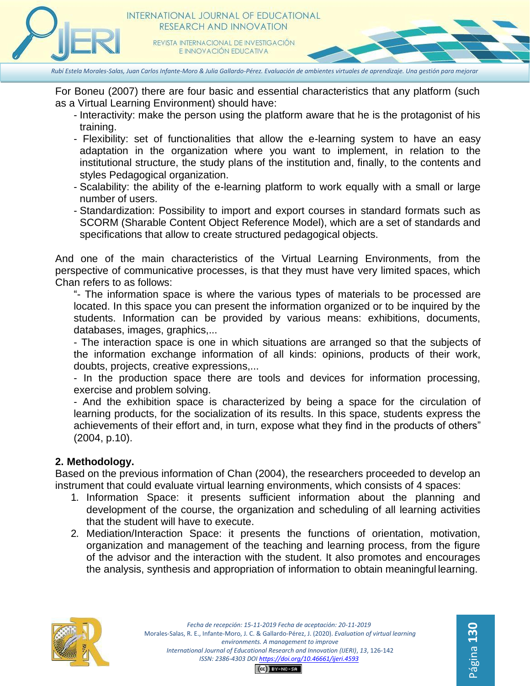

For Boneu (2007) there are four basic and essential characteristics that any platform (such as a Virtual Learning Environment) should have:

- Interactivity: make the person using the platform aware that he is the protagonist of his training.
- Flexibility: set of functionalities that allow the e-learning system to have an easy adaptation in the organization where you want to implement, in relation to the institutional structure, the study plans of the institution and, finally, to the contents and styles Pedagogical organization.
- Scalability: the ability of the e-learning platform to work equally with a small or large number of users.
- Standardization: Possibility to import and export courses in standard formats such as SCORM (Sharable Content Object Reference Model), which are a set of standards and specifications that allow to create structured pedagogical objects.

And one of the main characteristics of the Virtual Learning Environments, from the perspective of communicative processes, is that they must have very limited spaces, which Chan refers to as follows:

"- The information space is where the various types of materials to be processed are located. In this space you can present the information organized or to be inquired by the students. Information can be provided by various means: exhibitions, documents, databases, images, graphics,...

- The interaction space is one in which situations are arranged so that the subjects of the information exchange information of all kinds: opinions, products of their work, doubts, projects, creative expressions,...

- In the production space there are tools and devices for information processing, exercise and problem solving.

- And the exhibition space is characterized by being a space for the circulation of learning products, for the socialization of its results. In this space, students express the achievements of their effort and, in turn, expose what they find in the products of others" (2004, p.10).

## **2. Methodology.**

Based on the previous information of Chan (2004), the researchers proceeded to develop an instrument that could evaluate virtual learning environments, which consists of 4 spaces:

- 1. Information Space: it presents sufficient information about the planning and development of the course, the organization and scheduling of all learning activities that the student will have to execute.
- 2. Mediation/Interaction Space: it presents the functions of orientation, motivation, organization and management of the teaching and learning process, from the figure of the advisor and the interaction with the student. It also promotes and encourages the analysis, synthesis and appropriation of information to obtain meaningful learning.



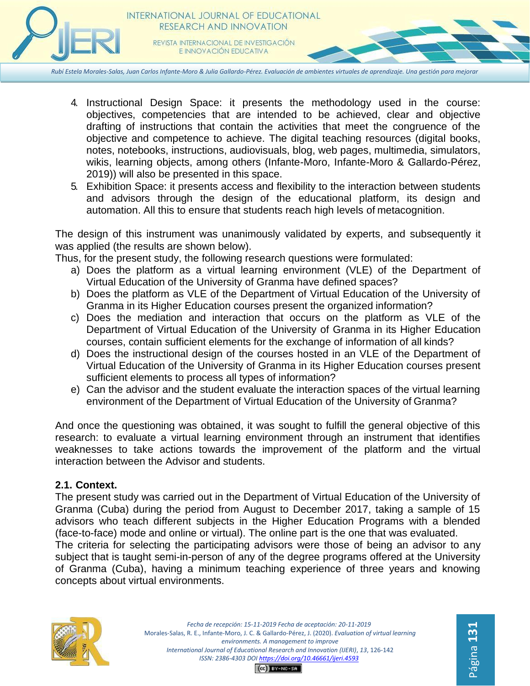

- 4. Instructional Design Space: it presents the methodology used in the course: objectives, competencies that are intended to be achieved, clear and objective drafting of instructions that contain the activities that meet the congruence of the objective and competence to achieve. The digital teaching resources (digital books, notes, notebooks, instructions, audiovisuals, blog, web pages, multimedia, simulators, wikis, learning objects, among others (Infante-Moro, Infante-Moro & Gallardo-Pérez, 2019)) will also be presented in this space.
- 5. Exhibition Space: it presents access and flexibility to the interaction between students and advisors through the design of the educational platform, its design and automation. All this to ensure that students reach high levels of metacognition.

The design of this instrument was unanimously validated by experts, and subsequently it was applied (the results are shown below).

Thus, for the present study, the following research questions were formulated:

- a) Does the platform as a virtual learning environment (VLE) of the Department of Virtual Education of the University of Granma have defined spaces?
- b) Does the platform as VLE of the Department of Virtual Education of the University of Granma in its Higher Education courses present the organized information?
- c) Does the mediation and interaction that occurs on the platform as VLE of the Department of Virtual Education of the University of Granma in its Higher Education courses, contain sufficient elements for the exchange of information of all kinds?
- d) Does the instructional design of the courses hosted in an VLE of the Department of Virtual Education of the University of Granma in its Higher Education courses present sufficient elements to process all types of information?
- e) Can the advisor and the student evaluate the interaction spaces of the virtual learning environment of the Department of Virtual Education of the University of Granma?

And once the questioning was obtained, it was sought to fulfill the general objective of this research: to evaluate a virtual learning environment through an instrument that identifies weaknesses to take actions towards the improvement of the platform and the virtual interaction between the Advisor and students.

# **2.1. Context.**

The present study was carried out in the Department of Virtual Education of the University of Granma (Cuba) during the period from August to December 2017, taking a sample of 15 advisors who teach different subjects in the Higher Education Programs with a blended (face-to-face) mode and online or virtual). The online part is the one that was evaluated.

The criteria for selecting the participating advisors were those of being an advisor to any subject that is taught semi-in-person of any of the degree programs offered at the University of Granma (Cuba), having a minimum teaching experience of three years and knowing concepts about virtual environments.



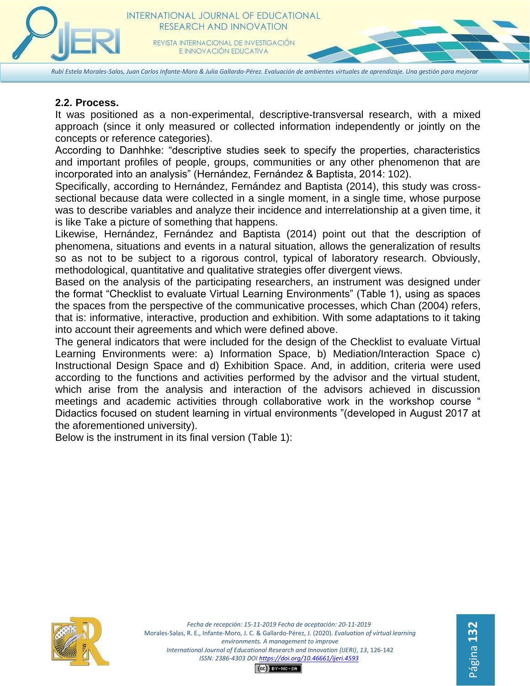

# **2.2. Process.**

It was positioned as a non-experimental, descriptive-transversal research, with a mixed approach (since it only measured or collected information independently or jointly on the concepts or reference categories).

According to Danhhke: "descriptive studies seek to specify the properties, characteristics and important profiles of people, groups, communities or any other phenomenon that are incorporated into an analysis" (Hernández, Fernández & Baptista, 2014: 102).

Specifically, according to Hernández, Fernández and Baptista (2014), this study was crosssectional because data were collected in a single moment, in a single time, whose purpose was to describe variables and analyze their incidence and interrelationship at a given time, it is like Take a picture of something that happens.

Likewise, Hernández, Fernández and Baptista (2014) point out that the description of phenomena, situations and events in a natural situation, allows the generalization of results so as not to be subject to a rigorous control, typical of laboratory research. Obviously, methodological, quantitative and qualitative strategies offer divergent views.

Based on the analysis of the participating researchers, an instrument was designed under the format "Checklist to evaluate Virtual Learning Environments" (Table 1), using as spaces the spaces from the perspective of the communicative processes, which Chan (2004) refers, that is: informative, interactive, production and exhibition. With some adaptations to it taking into account their agreements and which were defined above.

The general indicators that were included for the design of the Checklist to evaluate Virtual Learning Environments were: a) Information Space, b) Mediation/Interaction Space c) Instructional Design Space and d) Exhibition Space. And, in addition, criteria were used according to the functions and activities performed by the advisor and the virtual student, which arise from the analysis and interaction of the advisors achieved in discussion meetings and academic activities through collaborative work in the workshop course " Didactics focused on student learning in virtual environments "(developed in August 2017 at the aforementioned university).

Below is the instrument in its final version (Table 1):

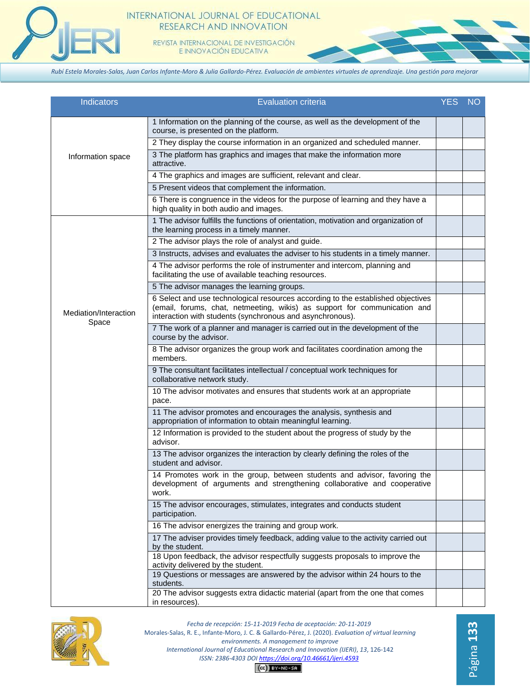

#### INTERNATIONAL JOURNAL OF EDUCATIONAL RESEARCH AND INNOVATION

REVISTA INTERNACIONAL DE INVESTIGACIÓN E INNOVACIÓN EDUCATIVA

*Rubí Estela Morales-Salas, Juan Carlos Infante-Moro & Julia Gallardo-Pérez. Evaluación de ambientes virtuales de aprendizaje. Una gestión para mejorar*

| <b>Indicators</b>              | <b>Evaluation criteria</b>                                                                                                                                                                                                 | <b>YES</b> | <b>NO</b> |
|--------------------------------|----------------------------------------------------------------------------------------------------------------------------------------------------------------------------------------------------------------------------|------------|-----------|
| Information space              | 1 Information on the planning of the course, as well as the development of the<br>course, is presented on the platform.                                                                                                    |            |           |
|                                | 2 They display the course information in an organized and scheduled manner.                                                                                                                                                |            |           |
|                                | 3 The platform has graphics and images that make the information more<br>attractive.                                                                                                                                       |            |           |
|                                | 4 The graphics and images are sufficient, relevant and clear.                                                                                                                                                              |            |           |
|                                | 5 Present videos that complement the information.                                                                                                                                                                          |            |           |
|                                | 6 There is congruence in the videos for the purpose of learning and they have a<br>high quality in both audio and images.                                                                                                  |            |           |
|                                | 1 The advisor fulfills the functions of orientation, motivation and organization of<br>the learning process in a timely manner.                                                                                            |            |           |
|                                | 2 The advisor plays the role of analyst and guide.                                                                                                                                                                         |            |           |
|                                | 3 Instructs, advises and evaluates the adviser to his students in a timely manner.                                                                                                                                         |            |           |
|                                | 4 The advisor performs the role of instrumenter and intercom, planning and<br>facilitating the use of available teaching resources.                                                                                        |            |           |
|                                | 5 The advisor manages the learning groups.                                                                                                                                                                                 |            |           |
| Mediation/Interaction<br>Space | 6 Select and use technological resources according to the established objectives<br>(email, forums, chat, netmeeting, wikis) as support for communication and<br>interaction with students (synchronous and asynchronous). |            |           |
|                                | 7 The work of a planner and manager is carried out in the development of the<br>course by the advisor.                                                                                                                     |            |           |
|                                | 8 The advisor organizes the group work and facilitates coordination among the<br>members.                                                                                                                                  |            |           |
|                                | 9 The consultant facilitates intellectual / conceptual work techniques for<br>collaborative network study.                                                                                                                 |            |           |
|                                | 10 The advisor motivates and ensures that students work at an appropriate<br>pace.                                                                                                                                         |            |           |
|                                | 11 The advisor promotes and encourages the analysis, synthesis and<br>appropriation of information to obtain meaningful learning.                                                                                          |            |           |
|                                | 12 Information is provided to the student about the progress of study by the<br>advisor.                                                                                                                                   |            |           |
|                                | 13 The advisor organizes the interaction by clearly defining the roles of the<br>student and advisor.                                                                                                                      |            |           |
|                                | 14 Promotes work in the group, between students and advisor, favoring the<br>development of arguments and strengthening collaborative and cooperative<br>work.                                                             |            |           |
|                                | 15 The advisor encourages, stimulates, integrates and conducts student<br>participation.                                                                                                                                   |            |           |
|                                | 16 The advisor energizes the training and group work.                                                                                                                                                                      |            |           |
|                                | 17 The adviser provides timely feedback, adding value to the activity carried out<br>by the student.                                                                                                                       |            |           |
|                                | 18 Upon feedback, the advisor respectfully suggests proposals to improve the<br>activity delivered by the student.                                                                                                         |            |           |
|                                | 19 Questions or messages are answered by the advisor within 24 hours to the<br>students.                                                                                                                                   |            |           |
|                                | 20 The advisor suggests extra didactic material (apart from the one that comes<br>in resources).                                                                                                                           |            |           |



*Fecha de recepción: 15-11-2019 Fecha de aceptación: 20-11-2019* Morales-Salas, R. E., Infante-Moro, J. C. & Gallardo-Pérez, J. (2020). *Evaluation of virtual learning environments. A management to improve International Journal of Educational Research and Innovation (IJERI)*, *13*, 126-142 *ISSN: 2386-4303 DO[I https://doi.org/10.46661/ijeri.4593](https://doi.org/10.46661/ijeri.4593)*  $(O)$  BY-NC-SA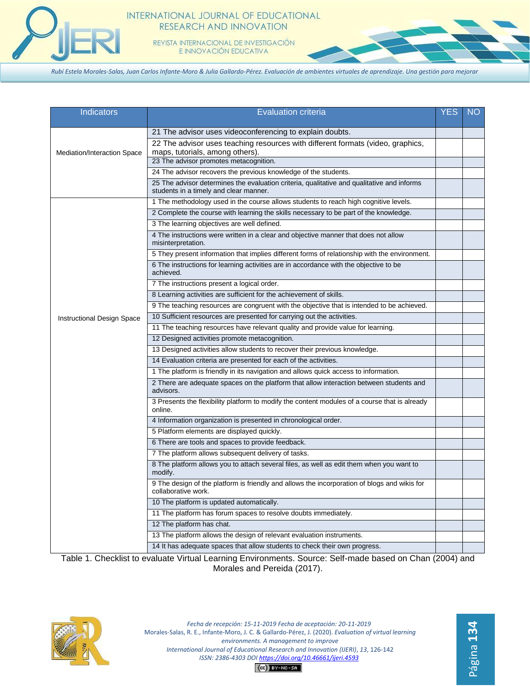

#### INTERNATIONAL JOURNAL OF EDUCATIONAL RESEARCH AND INNOVATION

REVISTA INTERNACIONAL DE INVESTIGACIÓN E INNOVACIÓN EDUCATIVA

*Rubí Estela Morales-Salas, Juan Carlos Infante-Moro & Julia Gallardo-Pérez. Evaluación de ambientes virtuales de aprendizaje. Una gestión para mejorar*

| Indicators                  | <b>Evaluation criteria</b>                                                                                                           | <b>YES</b> | NO |
|-----------------------------|--------------------------------------------------------------------------------------------------------------------------------------|------------|----|
| Mediation/Interaction Space | 21 The advisor uses videoconferencing to explain doubts.                                                                             |            |    |
|                             | 22 The advisor uses teaching resources with different formats (video, graphics,<br>maps, tutorials, among others).                   |            |    |
|                             | 23 The advisor promotes metacognition.                                                                                               |            |    |
|                             | 24 The advisor recovers the previous knowledge of the students.                                                                      |            |    |
|                             | 25 The advisor determines the evaluation criteria, qualitative and qualitative and informs<br>students in a timely and clear manner. |            |    |
|                             | 1 The methodology used in the course allows students to reach high cognitive levels.                                                 |            |    |
|                             | 2 Complete the course with learning the skills necessary to be part of the knowledge.                                                |            |    |
|                             | 3 The learning objectives are well defined.                                                                                          |            |    |
|                             | 4 The instructions were written in a clear and objective manner that does not allow<br>misinterpretation.                            |            |    |
|                             | 5 They present information that implies different forms of relationship with the environment.                                        |            |    |
|                             | 6 The instructions for learning activities are in accordance with the objective to be<br>achieved.                                   |            |    |
|                             | 7 The instructions present a logical order.                                                                                          |            |    |
|                             | 8 Learning activities are sufficient for the achievement of skills.                                                                  |            |    |
|                             | 9 The teaching resources are congruent with the objective that is intended to be achieved.                                           |            |    |
| Instructional Design Space  | 10 Sufficient resources are presented for carrying out the activities.                                                               |            |    |
|                             | 11 The teaching resources have relevant quality and provide value for learning.                                                      |            |    |
|                             | 12 Designed activities promote metacognition.                                                                                        |            |    |
|                             | 13 Designed activities allow students to recover their previous knowledge.                                                           |            |    |
|                             | 14 Evaluation criteria are presented for each of the activities.                                                                     |            |    |
|                             | 1 The platform is friendly in its navigation and allows quick access to information.                                                 |            |    |
|                             | 2 There are adequate spaces on the platform that allow interaction between students and<br>advisors.                                 |            |    |
|                             | 3 Presents the flexibility platform to modify the content modules of a course that is already<br>online.                             |            |    |
|                             | 4 Information organization is presented in chronological order.                                                                      |            |    |
|                             | 5 Platform elements are displayed quickly.                                                                                           |            |    |
|                             | 6 There are tools and spaces to provide feedback.                                                                                    |            |    |
|                             | 7 The platform allows subsequent delivery of tasks.                                                                                  |            |    |
|                             | 8 The platform allows you to attach several files, as well as edit them when you want to<br>modify.                                  |            |    |
|                             | 9 The design of the platform is friendly and allows the incorporation of blogs and wikis for<br>collaborative work.                  |            |    |
|                             | 10 The platform is updated automatically.                                                                                            |            |    |
|                             | 11 The platform has forum spaces to resolve doubts immediately.                                                                      |            |    |
|                             | 12 The platform has chat.                                                                                                            |            |    |
|                             | 13 The platform allows the design of relevant evaluation instruments.                                                                |            |    |
|                             |                                                                                                                                      |            |    |

Table 1. Checklist to evaluate Virtual Learning Environments. Source: Self-made based on Chan (2004) and Morales and Pereida (2017).

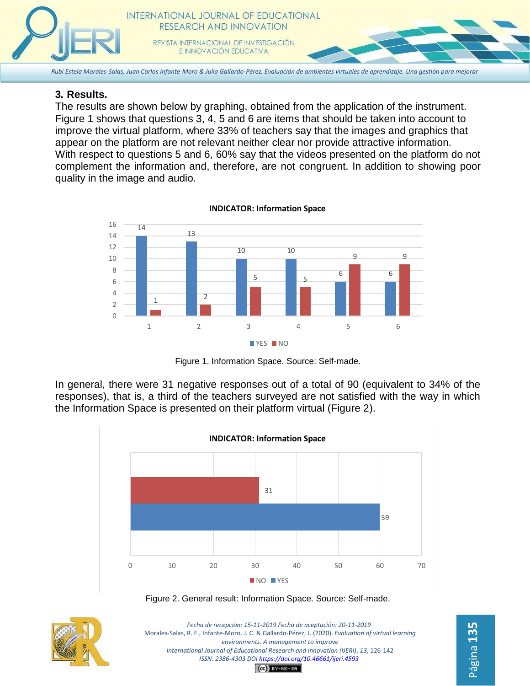

# **3. Results.**

The results are shown below by graphing, obtained from the application of the instrument. Figure 1 shows that questions 3, 4, 5 and 6 are items that should be taken into account to improve the virtual platform, where 33% of teachers say that the images and graphics that appear on the platform are not relevant neither clear nor provide attractive information. With respect to questions 5 and 6, 60% say that the videos presented on the platform do not complement the information and, therefore, are not congruent. In addition to showing poor quality in the image and audio.



Figure 1. Information Space. Source: Self-made.

In general, there were 31 negative responses out of a total of 90 (equivalent to 34% of the responses), that is, a third of the teachers surveyed are not satisfied with the way in which the Information Space is presented on their platform virtual (Figure 2).



Figure 2. General result: Information Space. Source: Self-made.



*Fecha de recepción: 15-11-2019 Fecha de aceptación: 20-11-2019* Morales-Salas, R. E., Infante-Moro, J. C. & Gallardo-Pérez, J. (2020). *Evaluation of virtual learning environments. A management to improve International Journal of Educational Research and Innovation (IJERI)*, *13*, 126-142 *ISSN: 2386-4303 DO[I https://doi.org/10.46661/ijeri.4593](https://doi.org/10.46661/ijeri.4593)*

Página **135**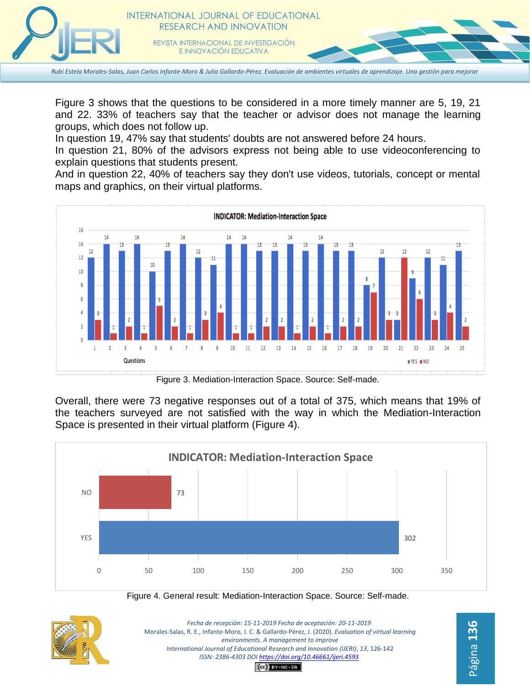

Figure 3 shows that the questions to be considered in a more timely manner are 5, 19, 21 and 22. 33% of teachers say that the teacher or advisor does not manage the learning groups, which does not follow up.

In question 19, 47% say that students' doubts are not answered before 24 hours.

In question 21, 80% of the advisors express not being able to use videoconferencing to explain questions that students present.

And in question 22, 40% of teachers say they don't use videos, tutorials, concept or mental maps and graphics, on their virtual platforms.



Figure 3. Mediation-Interaction Space. Source: Self-made.

Overall, there were 73 negative responses out of a total of 375, which means that 19% of the teachers surveyed are not satisfied with the way in which the Mediation-Interaction Space is presented in their virtual platform (Figure 4).



Figure 4. General result: Mediation-Interaction Space. Source: Self-made.



*Fecha de recepción: 15-11-2019 Fecha de aceptación: 20-11-2019* Morales-Salas, R. E., Infante-Moro, J. C. & Gallardo-Pérez, J. (2020). *Evaluation of virtual learning environments. A management to improve International Journal of Educational Research and Innovation (IJERI)*, *13*, 126-142 *ISSN: 2386-4303 DO[I https://doi.org/10.46661/ijeri.4593](https://doi.org/10.46661/ijeri.4593)*  $(G)$  BY-NC-SA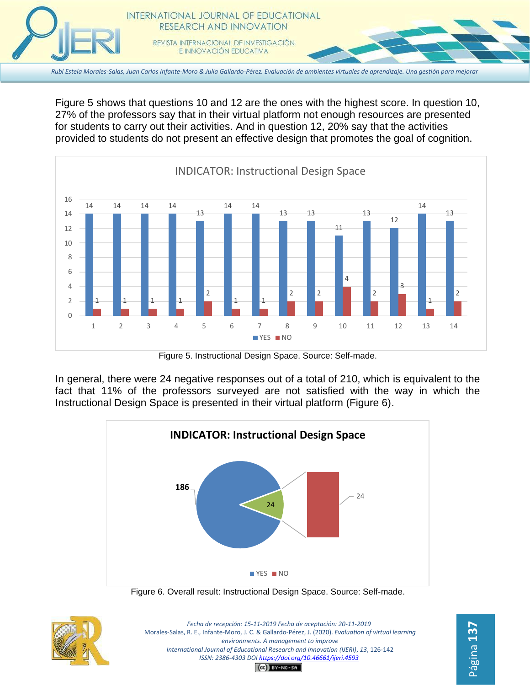

Figure 5 shows that questions 10 and 12 are the ones with the highest score. In question 10, 27% of the professors say that in their virtual platform not enough resources are presented for students to carry out their activities. And in question 12, 20% say that the activities provided to students do not present an effective design that promotes the goal of cognition.



Figure 5. Instructional Design Space. Source: Self-made.

In general, there were 24 negative responses out of a total of 210, which is equivalent to the fact that 11% of the professors surveyed are not satisfied with the way in which the Instructional Design Space is presented in their virtual platform (Figure 6).







*Fecha de recepción: 15-11-2019 Fecha de aceptación: 20-11-2019* Morales-Salas, R. E., Infante-Moro, J. C. & Gallardo-Pérez, J. (2020). *Evaluation of virtual learning environments. A management to improve International Journal of Educational Research and Innovation (IJERI)*, *13*, 126-142 *ISSN: 2386-4303 DO[I https://doi.org/10.46661/ijeri.4593](https://doi.org/10.46661/ijeri.4593)*

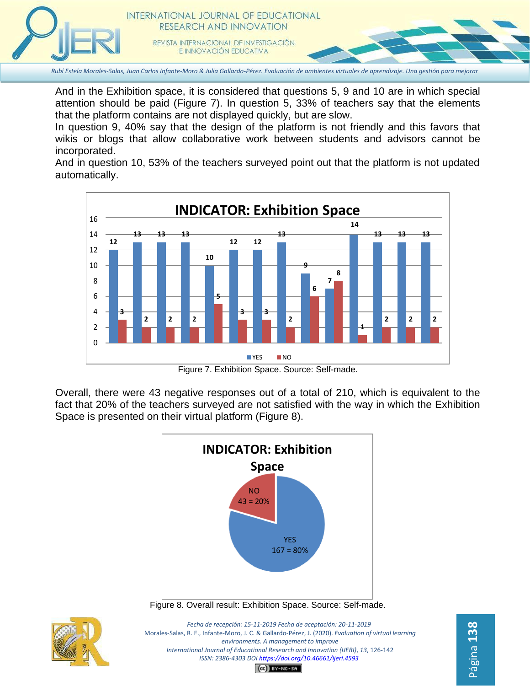

And in the Exhibition space, it is considered that questions 5, 9 and 10 are in which special attention should be paid (Figure 7). In question 5, 33% of teachers say that the elements that the platform contains are not displayed quickly, but are slow.

In question 9, 40% say that the design of the platform is not friendly and this favors that wikis or blogs that allow collaborative work between students and advisors cannot be incorporated.

And in question 10, 53% of the teachers surveyed point out that the platform is not updated automatically.



Figure 7. Exhibition Space. Source: Self-made.

Overall, there were 43 negative responses out of a total of 210, which is equivalent to the fact that 20% of the teachers surveyed are not satisfied with the way in which the Exhibition Space is presented on their virtual platform (Figure 8).



Figure 8. Overall result: Exhibition Space. Source: Self-made.



*Fecha de recepción: 15-11-2019 Fecha de aceptación: 20-11-2019* Morales-Salas, R. E., Infante-Moro, J. C. & Gallardo-Pérez, J. (2020). *Evaluation of virtual learning environments. A management to improve International Journal of Educational Research and Innovation (IJERI)*, *13*, 126-142 *ISSN: 2386-4303 DO[I https://doi.org/10.46661/ijeri.4593](https://doi.org/10.46661/ijeri.4593)*

Página **138**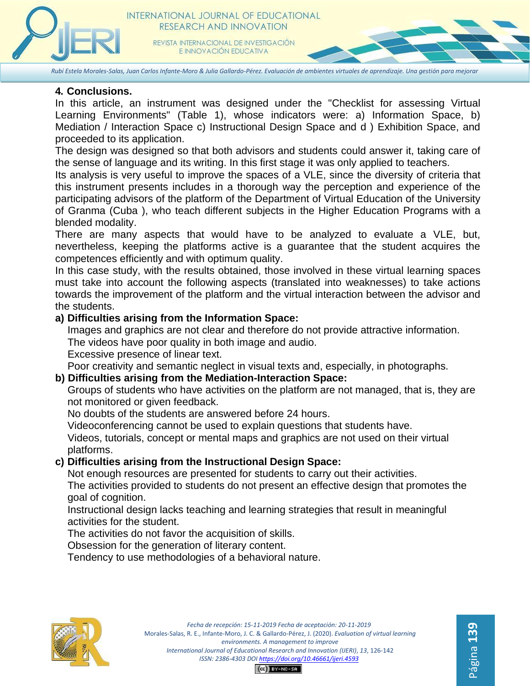

*Rubí Estela Morales-Salas, Juan Carlos Infante-Moro & Julia Gallardo-Pérez. Evaluación de ambientes virtuales de aprendizaje. Una gestión para mejorar*

#### **4. Conclusions.**

In this article, an instrument was designed under the "Checklist for assessing Virtual Learning Environments" (Table 1), whose indicators were: a) Information Space, b) Mediation / Interaction Space c) Instructional Design Space and d ) Exhibition Space, and proceeded to its application.

The design was designed so that both advisors and students could answer it, taking care of the sense of language and its writing. In this first stage it was only applied to teachers.

Its analysis is very useful to improve the spaces of a VLE, since the diversity of criteria that this instrument presents includes in a thorough way the perception and experience of the participating advisors of the platform of the Department of Virtual Education of the University of Granma (Cuba ), who teach different subjects in the Higher Education Programs with a blended modality.

There are many aspects that would have to be analyzed to evaluate a VLE, but, nevertheless, keeping the platforms active is a guarantee that the student acquires the competences efficiently and with optimum quality.

In this case study, with the results obtained, those involved in these virtual learning spaces must take into account the following aspects (translated into weaknesses) to take actions towards the improvement of the platform and the virtual interaction between the advisor and the students.

### **a) Difficulties arising from the Information Space:**

Images and graphics are not clear and therefore do not provide attractive information. The videos have poor quality in both image and audio.

Excessive presence of linear text.

Poor creativity and semantic neglect in visual texts and, especially, in photographs.

## **b) Difficulties arising from the Mediation-Interaction Space:**

Groups of students who have activities on the platform are not managed, that is, they are not monitored or given feedback.

No doubts of the students are answered before 24 hours.

Videoconferencing cannot be used to explain questions that students have.

Videos, tutorials, concept or mental maps and graphics are not used on their virtual platforms.

## **c) Difficulties arising from the Instructional Design Space:**

Not enough resources are presented for students to carry out their activities.

The activities provided to students do not present an effective design that promotes the goal of cognition.

Instructional design lacks teaching and learning strategies that result in meaningful activities for the student.

The activities do not favor the acquisition of skills.

Obsession for the generation of literary content.

Tendency to use methodologies of a behavioral nature.

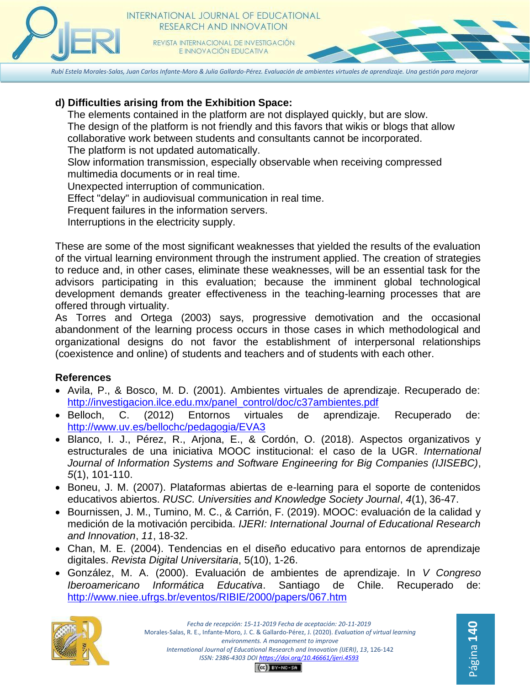

# **d) Difficulties arising from the Exhibition Space:**

The elements contained in the platform are not displayed quickly, but are slow. The design of the platform is not friendly and this favors that wikis or blogs that allow collaborative work between students and consultants cannot be incorporated. The platform is not updated automatically.

Slow information transmission, especially observable when receiving compressed multimedia documents or in real time.

Unexpected interruption of communication.

Effect "delay" in audiovisual communication in real time.

Frequent failures in the information servers.

Interruptions in the electricity supply.

These are some of the most significant weaknesses that yielded the results of the evaluation of the virtual learning environment through the instrument applied. The creation of strategies to reduce and, in other cases, eliminate these weaknesses, will be an essential task for the advisors participating in this evaluation; because the imminent global technological development demands greater effectiveness in the teaching-learning processes that are offered through virtuality.

As Torres and Ortega (2003) says, progressive demotivation and the occasional abandonment of the learning process occurs in those cases in which methodological and organizational designs do not favor the establishment of interpersonal relationships (coexistence and online) of students and teachers and of students with each other.

# **References**

- Avila, P., & Bosco, M. D. (2001). Ambientes virtuales de aprendizaje. Recuperado de[:](http://investigacion.ilce.edu.mx/panel_control/doc/c37ambientes.pdf) [http://investigacion.ilce.edu.mx/panel\\_control/doc/c37ambientes.pdf](http://investigacion.ilce.edu.mx/panel_control/doc/c37ambientes.pdf)
- Belloch, C. (2012) Entornos virtuales de aprendizaje. Recuperado de[:](http://www.uv.es/bellochc/pedagogia/EVA3) <http://www.uv.es/bellochc/pedagogia/EVA3>
- Blanco, I. J., Pérez, R., Arjona, E., & Cordón, O. (2018). Aspectos organizativos y estructurales de una iniciativa MOOC institucional: el caso de la UGR. *International Journal of Information Systems and Software Engineering for Big Companies (IJISEBC)*, *5*(1), 101-110.
- Boneu, J. M. (2007). Plataformas abiertas de e-learning para el soporte de contenidos educativos abiertos. *RUSC. Universities and Knowledge Society Journal*, *4*(1), 36-47.
- Bournissen, J. M., Tumino, M. C., & Carrión, F. (2019). MOOC: evaluación de la calidad y medición de la motivación percibida. *IJERI: International Journal of Educational Research and Innovation*, *11*, 18-32.
- Chan, M. E. (2004). Tendencias en el diseño educativo para entornos de aprendizaje digitales. *Revista Digital Universitaria*, 5(10), 1-26.
- González, M. A. (2000). Evaluación de ambientes de aprendizaje. In *V Congreso Iberoamericano Informática Educativa*. Santiago de Chile. Recuperado de[:](http://www.niee.ufrgs.br/eventos/RIBIE/2000/papers/067.htm) <http://www.niee.ufrgs.br/eventos/RIBIE/2000/papers/067.htm>



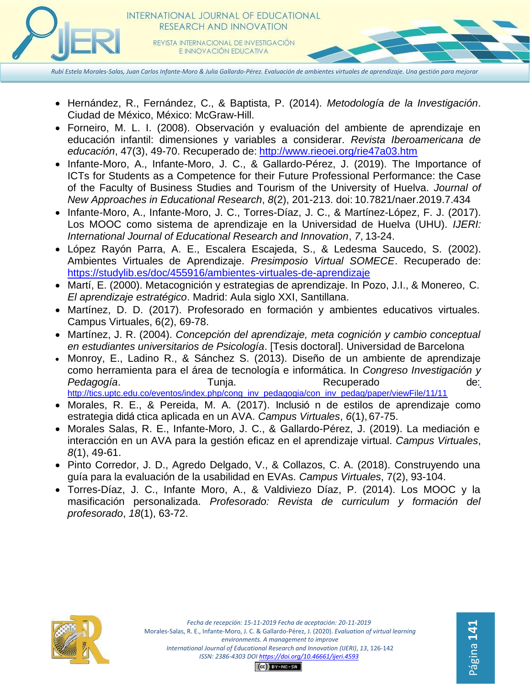

- Hernández, R., Fernández, C., & Baptista, P. (2014). *Metodología de la Investigación*. Ciudad de México, México: McGraw-Hill.
- Forneiro, M. L. I. (2008). Observación y evaluación del ambiente de aprendizaje en educación infantil: dimensiones y variables a considerar. *Revista Iberoamericana de educación*, 47(3), 49-70. Recuperado de: <http://www.rieoei.org/rie47a03.htm>
- Infante-Moro, A., Infante-Moro, J. C., & Gallardo-Pérez, J. (2019). The Importance of ICTs for Students as a Competence for their Future Professional Performance: the Case of the Faculty of Business Studies and Tourism of the University of Huelva. *Journal of New Approaches in Educational Research*, *8*(2), 201-213. doi: 10.7821/naer.2019.7.434
- Infante-Moro, A., Infante-Moro, J. C., Torres-Díaz, J. C., & Martínez-López, F. J. (2017). Los MOOC como sistema de aprendizaje en la Universidad de Huelva (UHU). *IJERI: International Journal of Educational Research and Innovation*, *7*, 13-24.
- López Rayón Parra, A. E., Escalera Escajeda, S., & Ledesma Saucedo, S. (2002). Ambientes Virtuales de Aprendizaje. *Presimposio Virtual SOMECE*. Recuperado de[:](https://studylib.es/doc/455916/ambientes-virtuales-de-aprendizaje) <https://studylib.es/doc/455916/ambientes-virtuales-de-aprendizaje>
- Martí, E. (2000). Metacognición y estrategias de aprendizaje. In Pozo, J.I., & Monereo, C. *El aprendizaje estratégico*. Madrid: Aula siglo XXI, Santillana.
- Martínez, D. D. (2017). Profesorado en formación y ambientes educativos virtuales. Campus Virtuales, 6(2), 69-78.
- Martínez, J. R. (2004). *Concepción del aprendizaje, meta cognición y cambio conceptual en estudiantes universitarios de Psicología*. [Tesis doctoral]. Universidad de Barcelona
- Monroy, E., Ladino R., & Sánchez S. (2013). Diseño de un ambiente de aprendizaje como herramienta para el área de tecnología e informática. In *Congreso Investigación y*  Pedagogía. Tunja. Recuperado de: [http://tics.uptc.edu.co/eventos/index.php/cong\\_inv\\_pedagogia/con\\_inv\\_pedag/paper/viewFile/11/11](http://tics.uptc.edu.co/eventos/index.php/cong_inv_pedagogia/con_inv_pedag/paper/viewFile/11/11)
- Morales, R. E., & Pereida, M. A. (2017). Inclusió n de estilos de aprendizaje como estrategia didá ctica aplicada en un AVA. *Campus Virtuales*, *6*(1), 67-75.
- Morales Salas, R. E., Infante-Moro, J. C., & Gallardo-Pérez, J. (2019). La mediación e interacción en un AVA para la gestión eficaz en el aprendizaje virtual. *Campus Virtuales*, *8*(1), 49-61.
- Pinto Corredor, J. D., Agredo Delgado, V., & Collazos, C. A. (2018). Construyendo una guía para la evaluación de la usabilidad en EVAs. *Campus Virtuales*, 7(2), 93-104.
- Torres-Díaz, J. C., Infante Moro, A., & Valdiviezo Díaz, P. (2014). Los MOOC y la masificación personalizada. *Profesorado: Revista de curriculum y formación del profesorado*, *18*(1), 63-72.



Página **141**Página 141